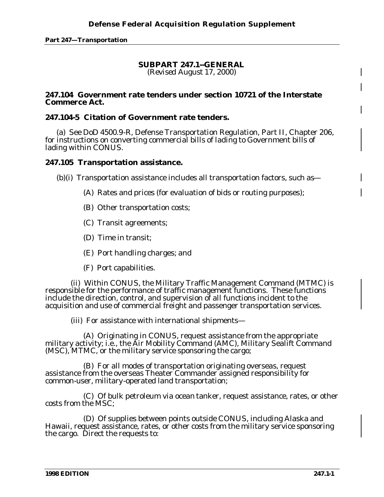**Part 247—Transportation**

## **SUBPART 247.1--GENERAL**

*(Revised August 17, 2000)*

## **247.104 Government rate tenders under section 10721 of the Interstate Commerce Act.**

## **247.104-5 Citation of Government rate tenders.**

(a) See DoD 4500.9-R, Defense Transportation Regulation, Part II, Chapter 206, for instructions on converting commercial bills of lading to Government bills of lading within CONUS.

## **247.105 Transportation assistance.**

(b)(i) Transportation assistance includes all transportation factors, such as—

- (A) Rates and prices (for evaluation of bids or routing purposes);
- (B) Other transportation costs;
- (C) Transit agreements;
- (D) Time in transit;
- (E) Port handling charges; and
- (F) Port capabilities.

(ii) Within CONUS, the Military Traffic Management Command (MTMC) is responsible for the performance of traffic management functions. These functions include the direction, control, and supervision of all functions incident to the acquisition and use of commercial freight and passenger transportation services.

(iii) For assistance with international shipments—

(A) Originating in CONUS, request assistance from the appropriate military activity; i.e., the Air Mobility Command (AMC), Military Sealift Command (MSC), MTMC, or the military service sponsoring the cargo;

(B) For all modes of transportation originating overseas, request assistance from the overseas Theater Commander assigned responsibility for common-user, military-operated land transportation;

(C) Of bulk petroleum via ocean tanker, request assistance, rates, or other costs from the MSC;

(D) Of supplies between points outside CONUS, including Alaska and Hawaii, request assistance, rates, or other costs from the military service sponsoring the cargo. Direct the requests to: